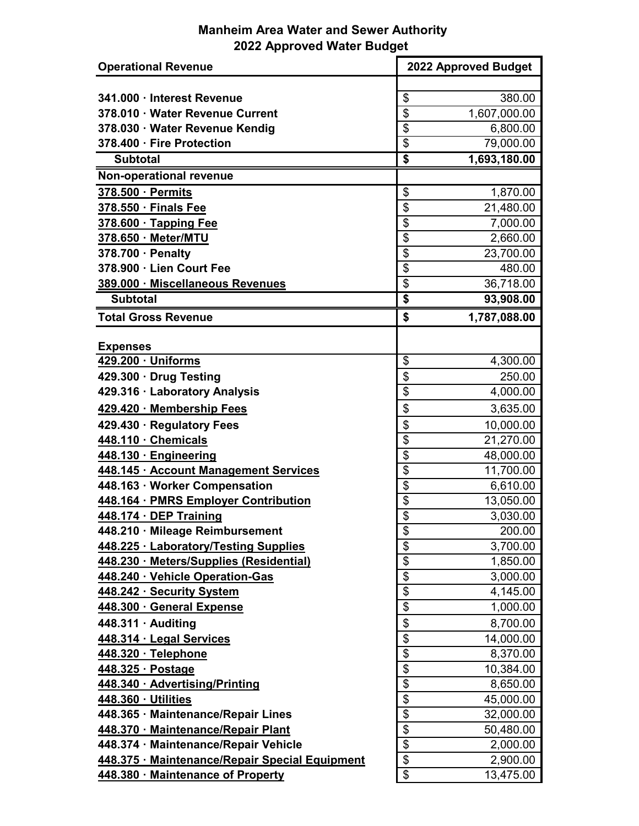## **Manheim Area Water and Sewer Authority 2022 Approved Water Budget**

| <b>Operational Revenue</b>                     | 2022 Approved Budget                  |  |
|------------------------------------------------|---------------------------------------|--|
|                                                |                                       |  |
| 341.000 · Interest Revenue                     | \$<br>380.00                          |  |
| 378.010 · Water Revenue Current                | \$<br>1,607,000.00                    |  |
| 378.030 · Water Revenue Kendig                 | $\overline{\mathbf{S}}$<br>6,800.00   |  |
| 378.400 · Fire Protection                      | $\overline{\$}$<br>79,000.00          |  |
| <b>Subtotal</b>                                | \$<br>1,693,180.00                    |  |
| Non-operational revenue                        |                                       |  |
| 378.500 · Permits                              | \$<br>1,870.00                        |  |
| 378.550 · Finals Fee                           | \$<br>21,480.00                       |  |
| 378.600 · Tapping Fee                          | \$<br>7,000.00                        |  |
| 378.650 · Meter/MTU                            | \$<br>2,660.00                        |  |
| 378.700 · Penalty                              | $\overline{\$}$<br>23,700.00          |  |
| 378.900 · Lien Court Fee                       | \$<br>480.00                          |  |
| 389.000 · Miscellaneous Revenues               | $\overline{\mathbf{S}}$<br>36,718.00  |  |
| <b>Subtotal</b>                                | \$<br>93,908.00                       |  |
| <b>Total Gross Revenue</b>                     | \$<br>1,787,088.00                    |  |
| <b>Expenses</b>                                |                                       |  |
| 429.200 · Uniforms                             | \$<br>4,300.00                        |  |
| 429.300 · Drug Testing                         | \$<br>250.00                          |  |
| 429.316 · Laboratory Analysis                  | \$<br>4,000.00                        |  |
| 429.420 · Membership Fees                      | \$<br>3,635.00                        |  |
| 429.430 · Regulatory Fees                      | \$<br>10,000.00                       |  |
| 448.110 · Chemicals                            | \$<br>21,270.00                       |  |
| 448.130 · Engineering                          | \$<br>48,000.00                       |  |
| 448.145 · Account Management Services          | $\overline{\$}$<br>11,700.00          |  |
| 448.163 · Worker Compensation                  | $\overline{\mathcal{G}}$<br>6,610.00  |  |
| 448.164 · PMRS Employer Contribution           | $\overline{\$}$<br>13,050.00          |  |
| 448.174 · DEP Training                         | $\overline{\mathcal{G}}$<br>3,030.00  |  |
| 448.210 · Mileage Reimbursement                | \$<br>200.00                          |  |
| 448.225 · Laboratory/Testing Supplies          | \$<br>3,700.00                        |  |
| 448.230 · Meters/Supplies (Residential)        | \$<br>1,850.00                        |  |
| 448.240 · Vehicle Operation-Gas                | \$<br>3,000.00                        |  |
| 448.242 · Security System                      | \$<br>4,145.00                        |  |
| 448.300 · General Expense                      | \$<br>1,000.00                        |  |
| $448.311 \cdot$ Auditing                       | \$<br>8,700.00                        |  |
| 448.314 · Legal Services                       | \$<br>14,000.00                       |  |
| 448.320 · Telephone                            | $\overline{\mathbf{S}}$<br>8,370.00   |  |
| <u>448.325 · Postage</u>                       | \$<br>10,384.00                       |  |
| 448.340 · Advertising/Printing                 | $\overline{\mathfrak{s}}$<br>8,650.00 |  |
| 448.360 · Utilities                            | \$<br>45,000.00                       |  |
| 448.365 · Maintenance/Repair Lines             | \$<br>32,000.00                       |  |
| 448.370 · Maintenance/Repair Plant             | \$<br>50,480.00                       |  |
| 448.374 · Maintenance/Repair Vehicle           | \$<br>2,000.00                        |  |
| 448.375 · Maintenance/Repair Special Equipment | \$<br>2,900.00                        |  |
| 448.380 · Maintenance of Property              | \$<br>13,475.00                       |  |